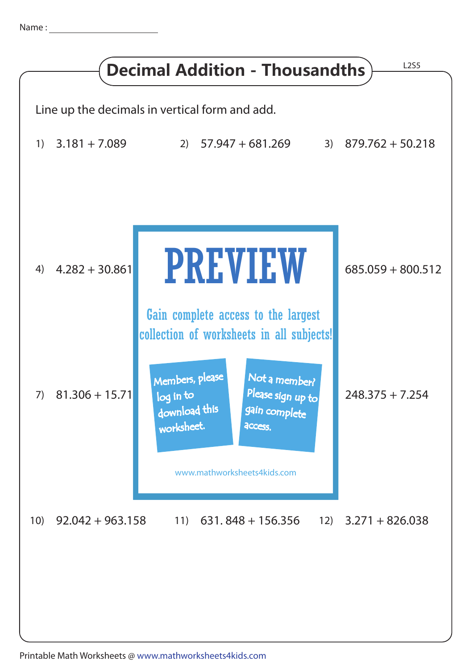